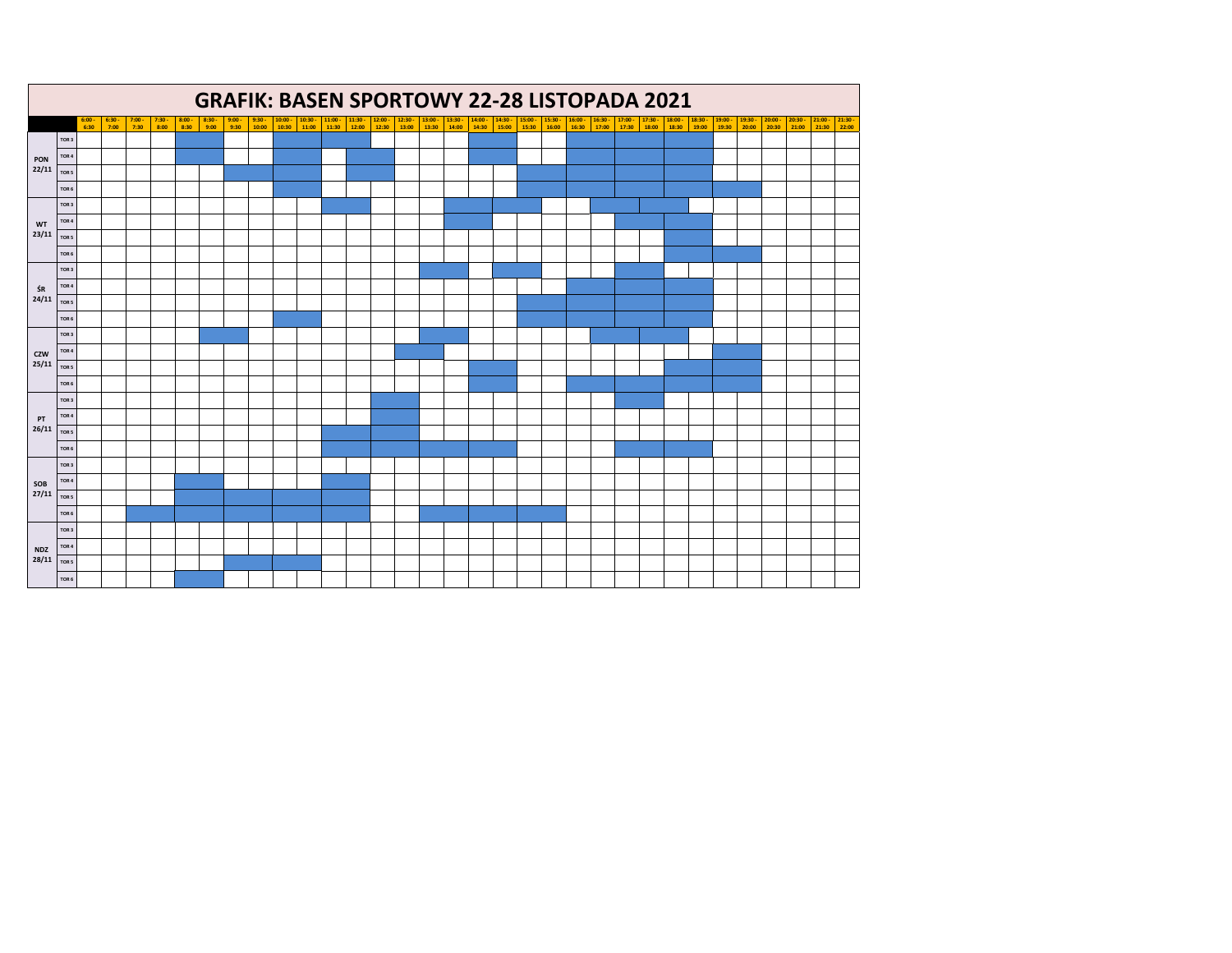